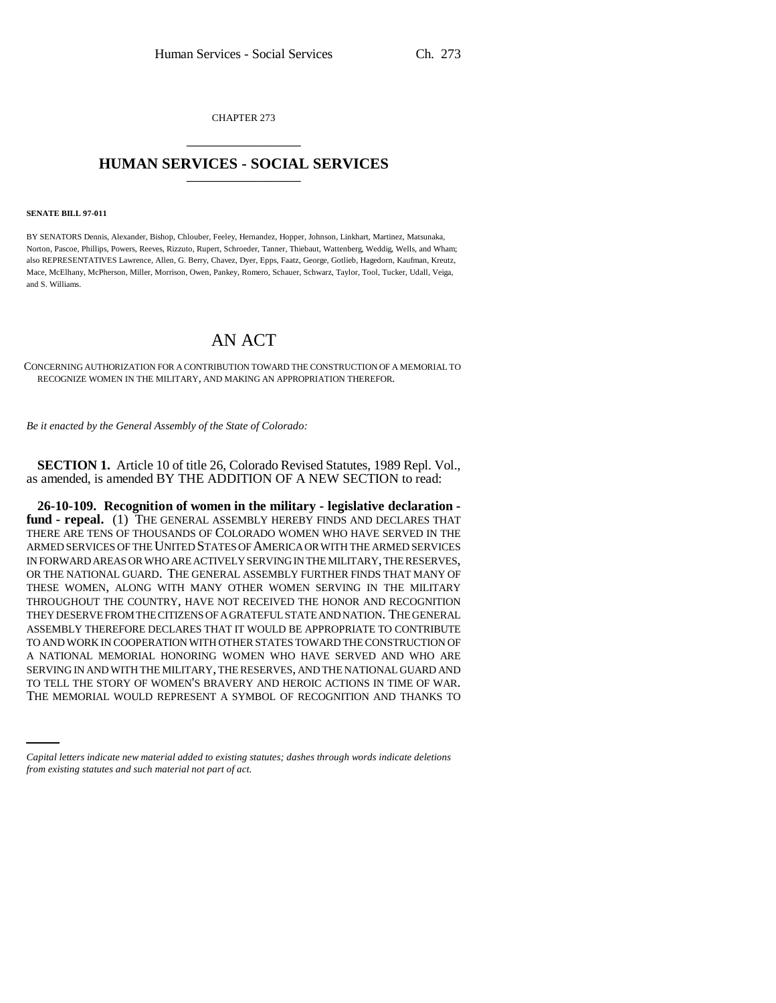CHAPTER 273 \_\_\_\_\_\_\_\_\_\_\_\_\_\_\_

## **HUMAN SERVICES - SOCIAL SERVICES** \_\_\_\_\_\_\_\_\_\_\_\_\_\_\_

## **SENATE BILL 97-011**

BY SENATORS Dennis, Alexander, Bishop, Chlouber, Feeley, Hernandez, Hopper, Johnson, Linkhart, Martinez, Matsunaka, Norton, Pascoe, Phillips, Powers, Reeves, Rizzuto, Rupert, Schroeder, Tanner, Thiebaut, Wattenberg, Weddig, Wells, and Wham; also REPRESENTATIVES Lawrence, Allen, G. Berry, Chavez, Dyer, Epps, Faatz, George, Gotlieb, Hagedorn, Kaufman, Kreutz, Mace, McElhany, McPherson, Miller, Morrison, Owen, Pankey, Romero, Schauer, Schwarz, Taylor, Tool, Tucker, Udall, Veiga, and S. Williams.

## AN ACT

CONCERNING AUTHORIZATION FOR A CONTRIBUTION TOWARD THE CONSTRUCTION OF A MEMORIAL TO RECOGNIZE WOMEN IN THE MILITARY, AND MAKING AN APPROPRIATION THEREFOR.

*Be it enacted by the General Assembly of the State of Colorado:*

**SECTION 1.** Article 10 of title 26, Colorado Revised Statutes, 1989 Repl. Vol., as amended, is amended BY THE ADDITION OF A NEW SECTION to read:

SERVING IN AND WITH THE MILITART, THE RESERVES, AND THE NATIONAL GOARD AND TO TELL THE STORY OF WOMEN'S BRAVERY AND HEROIC ACTIONS IN TIME OF WAR. **26-10-109. Recognition of women in the military - legislative declaration fund - repeal.** (1) THE GENERAL ASSEMBLY HEREBY FINDS AND DECLARES THAT THERE ARE TENS OF THOUSANDS OF COLORADO WOMEN WHO HAVE SERVED IN THE ARMED SERVICES OF THE UNITED STATES OF AMERICA OR WITH THE ARMED SERVICES IN FORWARD AREAS OR WHO ARE ACTIVELY SERVING IN THE MILITARY, THE RESERVES, OR THE NATIONAL GUARD. THE GENERAL ASSEMBLY FURTHER FINDS THAT MANY OF THESE WOMEN, ALONG WITH MANY OTHER WOMEN SERVING IN THE MILITARY THROUGHOUT THE COUNTRY, HAVE NOT RECEIVED THE HONOR AND RECOGNITION THEY DESERVE FROM THE CITIZENS OF A GRATEFUL STATE AND NATION. THE GENERAL ASSEMBLY THEREFORE DECLARES THAT IT WOULD BE APPROPRIATE TO CONTRIBUTE TO AND WORK IN COOPERATION WITH OTHER STATES TOWARD THE CONSTRUCTION OF A NATIONAL MEMORIAL HONORING WOMEN WHO HAVE SERVED AND WHO ARE SERVING IN AND WITH THE MILITARY, THE RESERVES, AND THE NATIONAL GUARD AND THE MEMORIAL WOULD REPRESENT A SYMBOL OF RECOGNITION AND THANKS TO

*Capital letters indicate new material added to existing statutes; dashes through words indicate deletions from existing statutes and such material not part of act.*